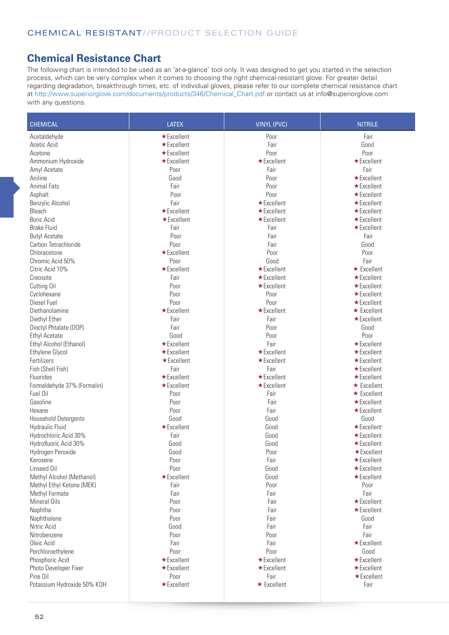## **Chemical Resistance Chart**

The following chart is intended to be used as an 'at-a-glance' tool only. It was designed to get you started in the selection process, which can be very complex when it comes to choosing the right chemical-resistant glove. For greater detail regarding degradation, breakthrough times, etc. of individual gloves, please refer to our complete chemical resistance chart at http://www.superiorglove.com/documents/products/346/Chemical\_Chart.pdf or contact us at info@superiorglove.com with any questions.

| <b>CHEMICAL</b>                         | <b>LATEX</b>      | <b>VINYL (PVC)</b> | <b>NITRILE</b>                  |
|-----------------------------------------|-------------------|--------------------|---------------------------------|
| Acetaldehyde                            | $\star$ Excellent | Poor               | Fair                            |
| Acetic Acid                             | ★ Excellent       | Fair               | Good                            |
| Acetone                                 | ★ Excellent       | Poor               | Poor                            |
| Ammonium Hydroxide                      | ★Excellent        | $\star$ Excellent  | *Excellent                      |
| Amyl Acetate                            | Poor              | Fair               | Fair                            |
| Aniline                                 | Good              | Poor               | ★Excellent                      |
| <b>Animal Fats</b>                      | Fair              | Poor               | *Excellent                      |
| Asphalt                                 | Poor              | Poor               | $\star$ Excellent               |
| Benzylic Alcohol                        | Fair              | *Excellent         | $\star$ Excellent               |
| Bleach                                  | $\star$ Excellent | $\star$ Excellent  | $\star$ Excellent               |
| Boric Acid                              | $\star$ Excellent | ★Excellent         | $\star$ Excellent               |
| <b>Brake Fluid</b>                      | Fair              | Fair               | *Excellent                      |
| <b>Butyl Acetate</b>                    | Poor              | Fair               | Fair                            |
| Carbon Tetrachloride                    | Poor              | Fair               | Good                            |
| Chloracetone                            | *Excellent        | Poor               | Poor                            |
| Chromic Acid 50%                        | Poor              | Good               | Fair                            |
| Citric Acid 10%                         | ★Excellent        | $\star$ Excellent  | $\star$ Excellent               |
| Creosote                                | Fair              | *Excellent         | *Excellent                      |
| Cutting Oil                             | Poor              | $\star$ Excellent  | ★Excellent                      |
| Cyclohexane                             | Poor              | Poor               | $\star$ Excellent               |
| Diesel Fuel                             | Poor              | Poor               | ★Excellent                      |
| Diethanolamine                          | $\star$ Excellent | $\star$ Excellent  | $\star$ Excellent               |
| Diethyl Ether                           | Fair              | Fair               | $\star$ Excellent               |
| Dioctyl Phtalate (DOP)                  | Fair              | Poor               | Good                            |
| <b>Ethyl Acetate</b>                    | Good              | Poor               | Poor                            |
| Ethyl Alcohol (Ethanol)                 | $\star$ Excellent | Fair               | $\star$ Excellent               |
| Ethylene Glycol                         | $\star$ Excellent | $\star$ Excellent  | $\star$ Excellent               |
| Fertilizers                             | $\star$ Excellent | $\star$ Excellent  | $\star$ Excellent               |
| Fish (Shell Fish)                       | Fair              | Fair               | $\star$ Excellent               |
| Fluorides                               | *Excellent        | $\star$ Excellent  | ★Excellent                      |
|                                         | ★ Excellent       | $\star$ Excellent  | $\star$ Excellent               |
| Formaldehyde 37% (Formalin)<br>Fuel Oil | Poor              | Fair               | $\star$ Excellent               |
| Gasoline                                | Poor              | Fair               |                                 |
|                                         |                   |                    | ★Excellent                      |
| Hexane                                  | Poor<br>Good      | Fair<br>Good       | *Excellent<br>Good              |
| Household Detergents                    | *Excellent        |                    |                                 |
| Hydraulic Fluid                         |                   | Good               | *Excellent                      |
| Hydrochloric Acid 30%                   | Fair<br>Good      | Good<br>Good       | *Excellent<br>$\star$ Excellent |
| Hydrofluoric Acid 30%                   |                   |                    |                                 |
| Hydrogen Peroxide                       | Good              | Poor               | $\star$ Excellent               |
| Kerosene                                | Poor<br>Poor      | Fair               | $\star$ Excellent<br>★Excellent |
| Linseed Oil                             |                   | Good               |                                 |
| Methyl Alcohol (Methanol)               | ★ Excellent       | Good               | *Excellent                      |
| Methyl Ethyl Ketone (MEK)               | Fair              | Poor<br>Fair       | Poor<br>Fair                    |
| Methyl Formate                          | Fair              |                    |                                 |
| Mineral Oils                            | Poor              | Fair               | *Excellent                      |
| Naphtha                                 | Poor              | Fair               | *Excellent                      |
| Naphthalene                             | Poor              | Fair               | Good                            |
| Nitric Acid                             | Good              | Fair               | Fair                            |
| Nitrobenzene                            | Poor              | Poor               | Fair                            |
| Oleic Acid                              | Fair              | Fair               | *Excellent                      |
| Perchloroethylene                       | Poor              | Poor               | Good                            |
| Phosphoric Acid                         | ★ Excellent       | $\star$ Excellent  | *Excellent                      |
| Photo Developer Fixer                   | $\star$ Excellent | $\star$ Excellent  | $\star$ Excellent               |
| Pine Oil                                | Poor              | Fair               | ★Excellent                      |
| Potassium Hydroxide 50% KOH             | *Excellent        | ★ Excellent        | Fair                            |